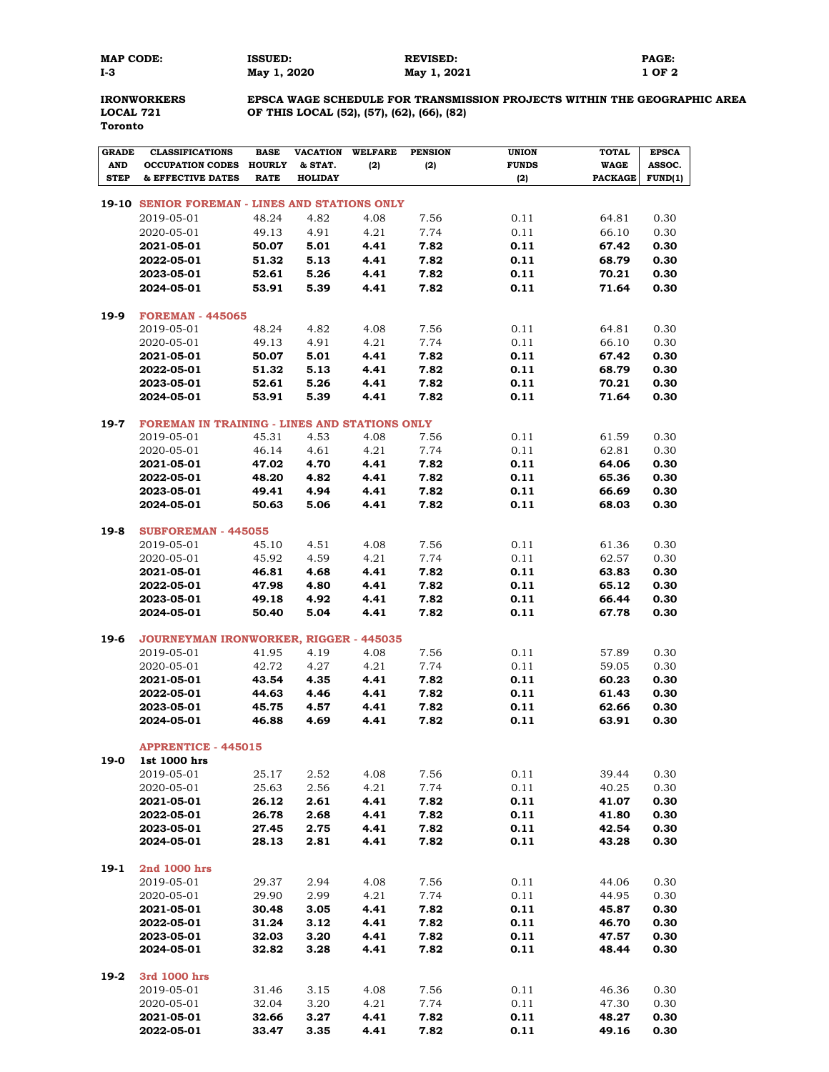**MAP CODE: ISSUED: REVISED: PAGE: I-3 May 1, 2020 May 1, 2021 1 OF 2**

**Toronto**

**IRONWORKERS EPSCA WAGE SCHEDULE FOR TRANSMISSION PROJECTS WITHIN THE GEOGRAPHIC AREA LOCAL 721 OF THIS LOCAL (52), (57), (62), (66), (82)**

| <b>GRADE</b> | <b>CLASSIFICATIONS</b>                         | <b>BASE</b>    | <b>VACATION</b> | <b>WELFARE</b> | <b>PENSION</b> | <b>UNION</b> | <b>TOTAL</b>   | <b>EPSCA</b>  |
|--------------|------------------------------------------------|----------------|-----------------|----------------|----------------|--------------|----------------|---------------|
| <b>AND</b>   | <b>OCCUPATION CODES</b>                        | <b>HOURLY</b>  | & STAT.         | (2)            | (2)            | <b>FUNDS</b> | <b>WAGE</b>    | <b>ASSOC.</b> |
| <b>STEP</b>  | & EFFECTIVE DATES                              | <b>RATE</b>    | <b>HOLIDAY</b>  |                |                | (2)          | <b>PACKAGE</b> | FUND(1)       |
|              | 19-10 SENIOR FOREMAN - LINES AND STATIONS ONLY |                |                 |                |                |              |                |               |
|              | 2019-05-01                                     | 48.24          | 4.82            | 4.08           | 7.56           | 0.11         | 64.81          | 0.30          |
|              | 2020-05-01                                     | 49.13          | 4.91            | 4.21           | 7.74           | 0.11         | 66.10          | 0.30          |
|              | 2021-05-01                                     | 50.07          | 5.01            | 4.41           | 7.82           | 0.11         | 67.42          | 0.30          |
|              | 2022-05-01                                     | 51.32          | 5.13            | 4.41           | 7.82           | 0.11         | 68.79          | 0.30          |
|              | 2023-05-01                                     | 52.61          | 5.26            | 4.41           | 7.82           | 0.11         | 70.21          | 0.30          |
|              | 2024-05-01                                     | 53.91          | 5.39            | 4.41           | 7.82           | 0.11         | 71.64          | 0.30          |
|              |                                                |                |                 |                |                |              |                |               |
| 19-9         | <b>FOREMAN - 445065</b>                        |                |                 |                |                |              |                |               |
|              | 2019-05-01                                     | 48.24          | 4.82            | 4.08           | 7.56           | 0.11         | 64.81          | 0.30          |
|              | 2020-05-01                                     | 49.13          | 4.91            | 4.21           | 7.74           | 0.11         | 66.10          | 0.30          |
|              | 2021-05-01                                     | 50.07          | 5.01            | 4.41           | 7.82           | 0.11         | 67.42          | 0.30          |
|              | 2022-05-01                                     | 51.32          | 5.13            | 4.41           | 7.82           | 0.11         | 68.79          | 0.30          |
|              | 2023-05-01                                     | 52.61          | 5.26            | 4.41           | 7.82           | 0.11<br>0.11 | 70.21          | 0.30          |
|              | 2024-05-01                                     | 53.91          | 5.39            | 4.41           | 7.82           |              | 71.64          | 0.30          |
| 19-7         | FOREMAN IN TRAINING - LINES AND STATIONS ONLY  |                |                 |                |                |              |                |               |
|              | 2019-05-01                                     | 45.31          | 4.53            | 4.08           | 7.56           | 0.11         | 61.59          | 0.30          |
|              | 2020-05-01                                     | 46.14          | 4.61            | 4.21           | 7.74           | 0.11         | 62.81          | 0.30          |
|              | 2021-05-01                                     | 47.02          | 4.70            | 4.41           | 7.82           | 0.11         | 64.06          | 0.30          |
|              | 2022-05-01                                     | 48.20          | 4.82            | 4.41           | 7.82           | 0.11         | 65.36          | 0.30          |
|              | 2023-05-01                                     | 49.41          | 4.94            | 4.41           | 7.82           | 0.11         | 66.69          | 0.30          |
|              | 2024-05-01                                     | 50.63          | 5.06            | 4.41           | 7.82           | 0.11         | 68.03          | 0.30          |
|              | <b>SUBFOREMAN - 445055</b>                     |                |                 |                |                |              |                |               |
| $19-8$       | 2019-05-01                                     | 45.10          | 4.51            | 4.08           | 7.56           | 0.11         | 61.36          | 0.30          |
|              | 2020-05-01                                     | 45.92          | 4.59            | 4.21           | 7.74           | 0.11         | 62.57          | 0.30          |
|              | 2021-05-01                                     | 46.81          | 4.68            | 4.41           | 7.82           | 0.11         | 63.83          | 0.30          |
|              | 2022-05-01                                     | 47.98          | 4.80            | 4.41           | 7.82           | 0.11         | 65.12          | 0.30          |
|              | 2023-05-01                                     | 49.18          | 4.92            | 4.41           | 7.82           | 0.11         | 66.44          | 0.30          |
|              | 2024-05-01                                     | 50.40          | 5.04            | 4.41           | 7.82           | 0.11         | 67.78          | 0.30          |
|              |                                                |                |                 |                |                |              |                |               |
| 19-6         | JOURNEYMAN IRONWORKER, RIGGER - 445035         |                |                 |                |                |              |                |               |
|              | 2019-05-01                                     | 41.95          | 4.19            | 4.08           | 7.56           | 0.11         | 57.89          | 0.30          |
|              | 2020-05-01                                     | 42.72          | 4.27<br>4.35    | 4.21           | 7.74           | 0.11<br>0.11 | 59.05          | 0.30<br>0.30  |
|              | 2021-05-01<br>2022-05-01                       | 43.54<br>44.63 | 4.46            | 4.41<br>4.41   | 7.82<br>7.82   | 0.11         | 60.23<br>61.43 | 0.30          |
|              | 2023-05-01                                     | 45.75          | 4.57            | 4.41           | 7.82           | 0.11         | 62.66          | 0.30          |
|              | 2024-05-01                                     | 46.88          | 4.69            | 4.41           | 7.82           | 0.11         | 63.91          | 0.30          |
|              |                                                |                |                 |                |                |              |                |               |
|              | <b>APPRENTICE - 445015</b>                     |                |                 |                |                |              |                |               |
| 19-0         | 1st 1000 hrs                                   |                |                 |                |                |              |                |               |
|              | 2019-05-01                                     | 25.17          | 2.52            | 4.08           | 7.56           | 0.11         | 39.44          | 0.30          |
|              | 2020-05-01                                     | 25.63          | 2.56            | 4.21           | 7.74           | 0.11         | 40.25          | 0.30          |
|              | 2021-05-01                                     | 26.12          | 2.61            | 4.41           | 7.82           | 0.11         | 41.07          | 0.30          |
|              | 2022-05-01                                     | 26.78          | 2.68            | 4.41           | 7.82           | 0.11         | 41.80          | 0.30          |
|              | 2023-05-01<br>2024-05-01                       | 27.45<br>28.13 | 2.75<br>2.81    | 4.41<br>4.41   | 7.82<br>7.82   | 0.11<br>0.11 | 42.54<br>43.28 | 0.30<br>0.30  |
|              |                                                |                |                 |                |                |              |                |               |
| $19-1$       | 2nd 1000 hrs                                   |                |                 |                |                |              |                |               |
|              | 2019-05-01                                     | 29.37          | 2.94            | 4.08           | 7.56           | 0.11         | 44.06          | 0.30          |
|              | 2020-05-01                                     | 29.90          | 2.99            | 4.21           | 7.74           | 0.11         | 44.95          | 0.30          |
|              | 2021-05-01                                     | 30.48          | 3.05            | 4.41           | 7.82           | 0.11         | 45.87          | 0.30          |
|              | 2022-05-01                                     | 31.24          | 3.12            | 4.41           | 7.82           | 0.11         | 46.70          | 0.30          |
|              | 2023-05-01                                     | 32.03          | 3.20            | 4.41           | 7.82           | 0.11         | 47.57          | 0.30          |
|              | 2024-05-01                                     | 32.82          | 3.28            | 4.41           | 7.82           | 0.11         | 48.44          | 0.30          |
| 19-2         | 3rd 1000 hrs                                   |                |                 |                |                |              |                |               |
|              | 2019-05-01                                     | 31.46          | 3.15            | 4.08           | 7.56           | 0.11         | 46.36          | 0.30          |
|              | 2020-05-01                                     | 32.04          | 3.20            | 4.21           | 7.74           | 0.11         | 47.30          | 0.30          |
|              | 2021-05-01                                     | 32.66          | 3.27            | 4.41           | 7.82           | 0.11         | 48.27          | 0.30          |
|              | 2022-05-01                                     | 33.47          | 3.35            | 4.41           | 7.82           | 0.11         | 49.16          | 0.30          |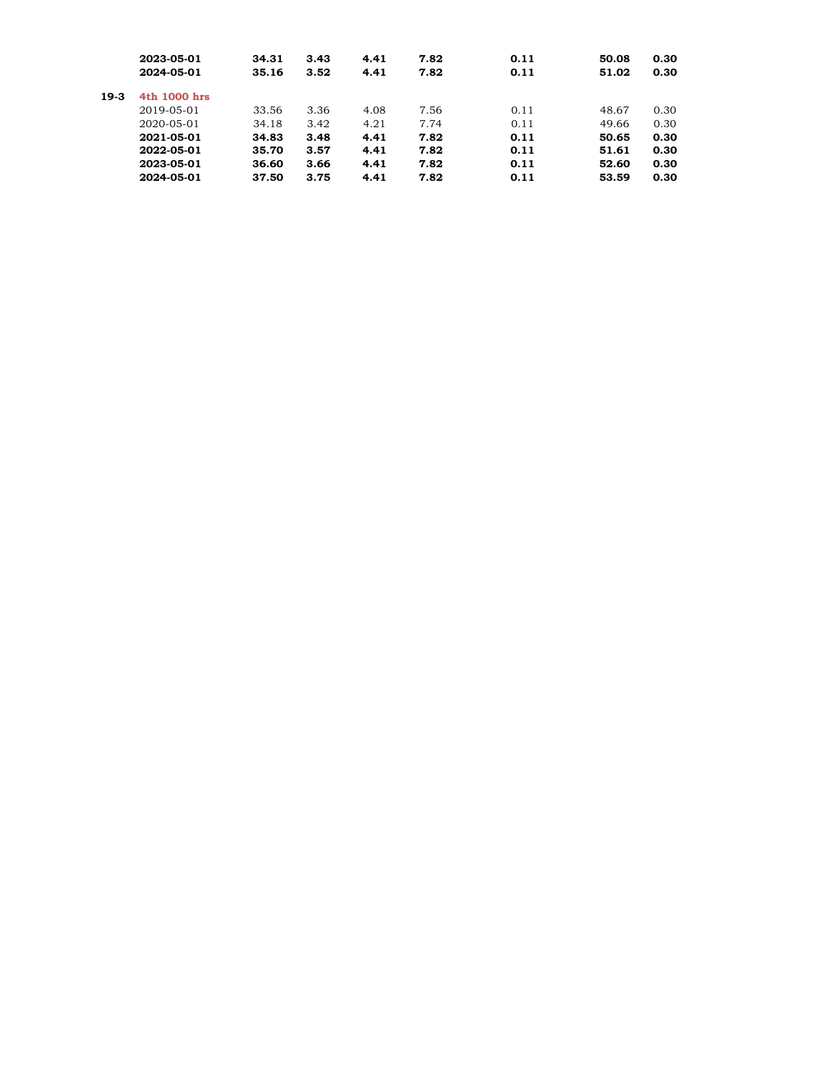|        | 2023-05-01   | 34.31 | 3.43 | 4.41 | 7.82 | 0.11 | 50.08 | 0.30 |
|--------|--------------|-------|------|------|------|------|-------|------|
|        | 2024-05-01   | 35.16 | 3.52 | 4.41 | 7.82 | 0.11 | 51.02 | 0.30 |
| $19-3$ | 4th 1000 hrs |       |      |      |      |      |       |      |
|        | 2019-05-01   | 33.56 | 3.36 | 4.08 | 7.56 | 0.11 | 48.67 | 0.30 |
|        | 2020-05-01   | 34.18 | 3.42 | 4.21 | 7.74 | 0.11 | 49.66 | 0.30 |
|        | 2021-05-01   | 34.83 | 3.48 | 4.41 | 7.82 | 0.11 | 50.65 | 0.30 |
|        | 2022-05-01   | 35.70 | 3.57 | 4.41 | 7.82 | 0.11 | 51.61 | 0.30 |
|        | 2023-05-01   | 36.60 | 3.66 | 4.41 | 7.82 | 0.11 | 52.60 | 0.30 |
|        | 2024-05-01   | 37.50 | 3.75 | 4.41 | 7.82 | 0.11 | 53.59 | 0.30 |